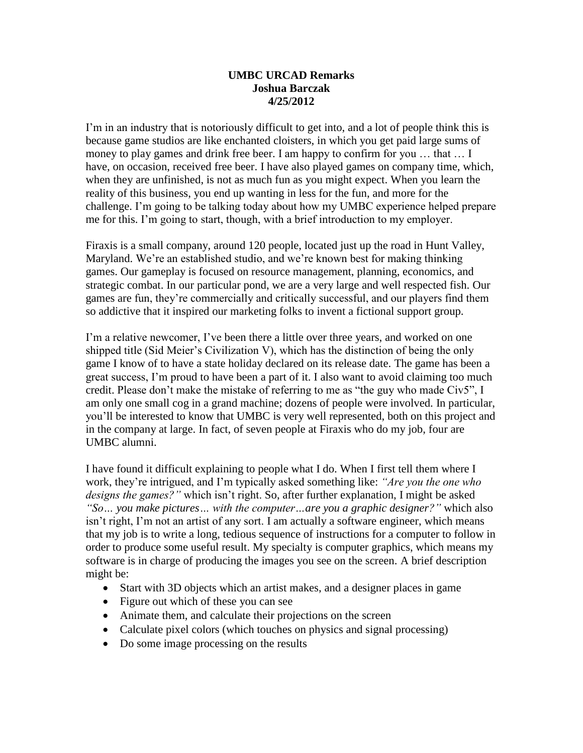## **UMBC URCAD Remarks Joshua Barczak 4/25/2012**

I'm in an industry that is notoriously difficult to get into, and a lot of people think this is because game studios are like enchanted cloisters, in which you get paid large sums of money to play games and drink free beer. I am happy to confirm for you ... that ... I have, on occasion, received free beer. I have also played games on company time, which, when they are unfinished, is not as much fun as you might expect. When you learn the reality of this business, you end up wanting in less for the fun, and more for the challenge. I'm going to be talking today about how my UMBC experience helped prepare me for this. I'm going to start, though, with a brief introduction to my employer.

Firaxis is a small company, around 120 people, located just up the road in Hunt Valley, Maryland. We're an established studio, and we're known best for making thinking games. Our gameplay is focused on resource management, planning, economics, and strategic combat. In our particular pond, we are a very large and well respected fish. Our games are fun, they're commercially and critically successful, and our players find them so addictive that it inspired our marketing folks to invent a fictional support group.

I'm a relative newcomer, I've been there a little over three years, and worked on one shipped title (Sid Meier's Civilization V), which has the distinction of being the only game I know of to have a state holiday declared on its release date. The game has been a great success, I'm proud to have been a part of it. I also want to avoid claiming too much credit. Please don't make the mistake of referring to me as "the guy who made Civ5", I am only one small cog in a grand machine; dozens of people were involved. In particular, you'll be interested to know that UMBC is very well represented, both on this project and in the company at large. In fact, of seven people at Firaxis who do my job, four are UMBC alumni.

I have found it difficult explaining to people what I do. When I first tell them where I work, they're intrigued, and I'm typically asked something like: *"Are you the one who designs the games?"* which isn't right. So, after further explanation, I might be asked *"So… you make pictures… with the computer…are you a graphic designer?"* which also isn't right, I'm not an artist of any sort. I am actually a software engineer, which means that my job is to write a long, tedious sequence of instructions for a computer to follow in order to produce some useful result. My specialty is computer graphics, which means my software is in charge of producing the images you see on the screen. A brief description might be:

- Start with 3D objects which an artist makes, and a designer places in game
- Figure out which of these you can see
- Animate them, and calculate their projections on the screen
- Calculate pixel colors (which touches on physics and signal processing)
- Do some image processing on the results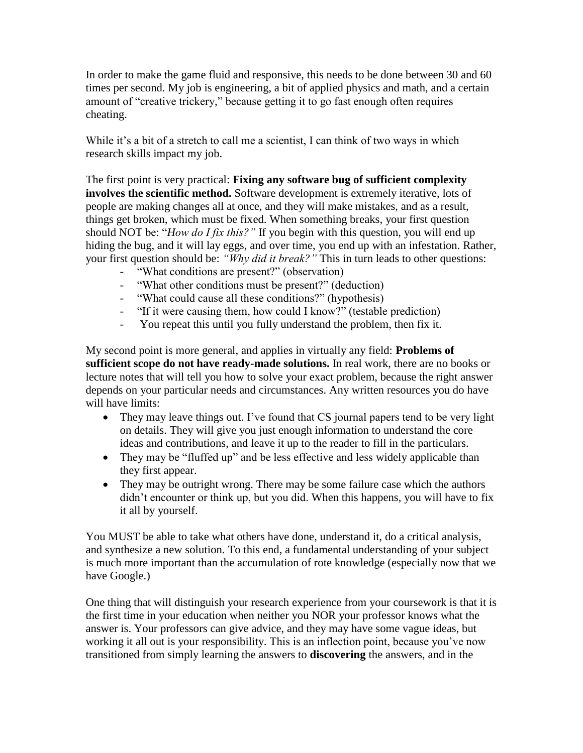In order to make the game fluid and responsive, this needs to be done between 30 and 60 times per second. My job is engineering, a bit of applied physics and math, and a certain amount of "creative trickery," because getting it to go fast enough often requires cheating.

While it's a bit of a stretch to call me a scientist, I can think of two ways in which research skills impact my job.

The first point is very practical: **Fixing any software bug of sufficient complexity involves the scientific method.** Software development is extremely iterative, lots of people are making changes all at once, and they will make mistakes, and as a result, things get broken, which must be fixed. When something breaks, your first question should NOT be: "*How do I fix this?"* If you begin with this question, you will end up hiding the bug, and it will lay eggs, and over time, you end up with an infestation. Rather, your first question should be: *"Why did it break?"* This in turn leads to other questions:

- "What conditions are present?" (observation)
- "What other conditions must be present?" (deduction)
- "What could cause all these conditions?" (hypothesis)
- "If it were causing them, how could I know?" (testable prediction)
- You repeat this until you fully understand the problem, then fix it.

My second point is more general, and applies in virtually any field: **Problems of sufficient scope do not have ready-made solutions.** In real work, there are no books or lecture notes that will tell you how to solve your exact problem, because the right answer depends on your particular needs and circumstances. Any written resources you do have will have limits:

- They may leave things out. I've found that CS journal papers tend to be very light on details. They will give you just enough information to understand the core ideas and contributions, and leave it up to the reader to fill in the particulars.
- They may be "fluffed up" and be less effective and less widely applicable than they first appear.
- They may be outright wrong. There may be some failure case which the authors didn't encounter or think up, but you did. When this happens, you will have to fix it all by yourself.

You MUST be able to take what others have done, understand it, do a critical analysis, and synthesize a new solution. To this end, a fundamental understanding of your subject is much more important than the accumulation of rote knowledge (especially now that we have Google.)

One thing that will distinguish your research experience from your coursework is that it is the first time in your education when neither you NOR your professor knows what the answer is. Your professors can give advice, and they may have some vague ideas, but working it all out is your responsibility. This is an inflection point, because you've now transitioned from simply learning the answers to **discovering** the answers, and in the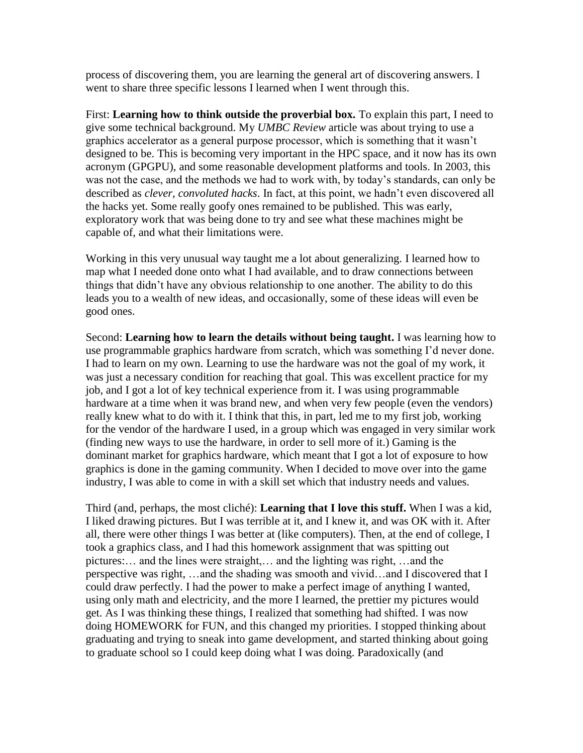process of discovering them, you are learning the general art of discovering answers. I went to share three specific lessons I learned when I went through this.

First: **Learning how to think outside the proverbial box.** To explain this part, I need to give some technical background. My *UMBC Review* article was about trying to use a graphics accelerator as a general purpose processor, which is something that it wasn't designed to be. This is becoming very important in the HPC space, and it now has its own acronym (GPGPU), and some reasonable development platforms and tools. In 2003, this was not the case, and the methods we had to work with, by today's standards, can only be described as *clever, convoluted hacks*. In fact, at this point, we hadn't even discovered all the hacks yet. Some really goofy ones remained to be published. This was early, exploratory work that was being done to try and see what these machines might be capable of, and what their limitations were.

Working in this very unusual way taught me a lot about generalizing. I learned how to map what I needed done onto what I had available, and to draw connections between things that didn't have any obvious relationship to one another. The ability to do this leads you to a wealth of new ideas, and occasionally, some of these ideas will even be good ones.

Second: **Learning how to learn the details without being taught.** I was learning how to use programmable graphics hardware from scratch, which was something I'd never done. I had to learn on my own. Learning to use the hardware was not the goal of my work, it was just a necessary condition for reaching that goal. This was excellent practice for my job, and I got a lot of key technical experience from it. I was using programmable hardware at a time when it was brand new, and when very few people (even the vendors) really knew what to do with it. I think that this, in part, led me to my first job, working for the vendor of the hardware I used, in a group which was engaged in very similar work (finding new ways to use the hardware, in order to sell more of it.) Gaming is the dominant market for graphics hardware, which meant that I got a lot of exposure to how graphics is done in the gaming community. When I decided to move over into the game industry, I was able to come in with a skill set which that industry needs and values.

Third (and, perhaps, the most cliché): **Learning that I love this stuff.** When I was a kid, I liked drawing pictures. But I was terrible at it, and I knew it, and was OK with it. After all, there were other things I was better at (like computers). Then, at the end of college, I took a graphics class, and I had this homework assignment that was spitting out pictures:… and the lines were straight,… and the lighting was right, …and the perspective was right, …and the shading was smooth and vivid…and I discovered that I could draw perfectly. I had the power to make a perfect image of anything I wanted, using only math and electricity, and the more I learned, the prettier my pictures would get. As I was thinking these things, I realized that something had shifted. I was now doing HOMEWORK for FUN, and this changed my priorities. I stopped thinking about graduating and trying to sneak into game development, and started thinking about going to graduate school so I could keep doing what I was doing. Paradoxically (and